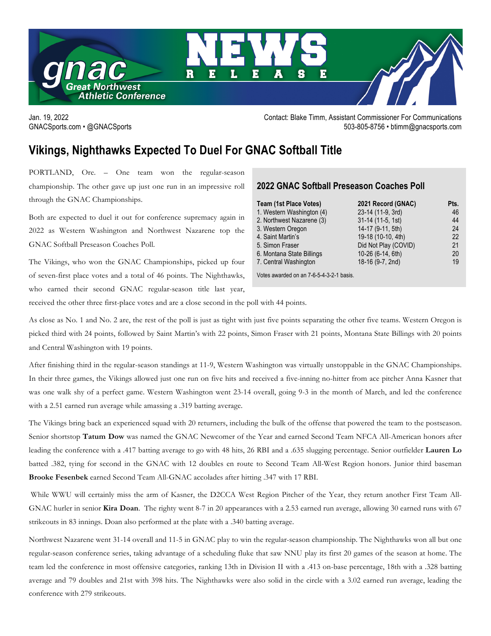

Jan. 19, 2022 Contact: Blake Timm, Assistant Commissioner For Communications GNACSports.com • @GNACSports 503-805-8756 • btimm@gnacsports.com

## **Vikings, Nighthawks Expected To Duel For GNAC Softball Title**

PORTLAND, Ore. – One team won the regular-season championship. The other gave up just one run in an impressive roll through the GNAC Championships.

Both are expected to duel it out for conference supremacy again in 2022 as Western Washington and Northwest Nazarene top the GNAC Softball Preseason Coaches Poll.

The Vikings, who won the GNAC Championships, picked up four of seven-first place votes and a total of 46 points. The Nighthawks, who earned their second GNAC regular-season title last year,

## **2022 GNAC Softball Preseason Coaches Poll**

| Team (1st Place Votes)    | 2021 Record (GNAC)   | Pts. |
|---------------------------|----------------------|------|
| 1. Western Washington (4) | 23-14 (11-9, 3rd)    | 46   |
| 2. Northwest Nazarene (3) | 31-14 (11-5, 1st)    | 44   |
| 3. Western Oregon         | 14-17 (9-11, 5th)    | 24   |
| 4. Saint Martin's         | 19-18 (10-10, 4th)   | 22   |
| 5. Simon Fraser           | Did Not Play (COVID) | 21   |
| 6. Montana State Billings | 10-26 (6-14, 6th)    | 20   |
| 7. Central Washington     | 18-16 (9-7, 2nd)     | 19   |
|                           |                      |      |

Votes awarded on an 7-6-5-4-3-2-1 basis.

received the other three first-place votes and are a close second in the poll with 44 points.

As close as No. 1 and No. 2 are, the rest of the poll is just as tight with just five points separating the other five teams. Western Oregon is picked third with 24 points, followed by Saint Martin's with 22 points, Simon Fraser with 21 points, Montana State Billings with 20 points and Central Washington with 19 points.

After finishing third in the regular-season standings at 11-9, Western Washington was virtually unstoppable in the GNAC Championships. In their three games, the Vikings allowed just one run on five hits and received a five-inning no-hitter from ace pitcher Anna Kasner that was one walk shy of a perfect game. Western Washington went 23-14 overall, going 9-3 in the month of March, and led the conference with a 2.51 earned run average while amassing a .319 batting average.

The Vikings bring back an experienced squad with 20 returners, including the bulk of the offense that powered the team to the postseason. Senior shortstop **Tatum Dow** was named the GNAC Newcomer of the Year and earned Second Team NFCA All-American honors after leading the conference with a .417 batting average to go with 48 hits, 26 RBI and a .635 slugging percentage. Senior outfielder **Lauren Lo** batted .382, tying for second in the GNAC with 12 doubles en route to Second Team All-West Region honors. Junior third baseman **Brooke Fesenbek** earned Second Team All-GNAC accolades after hitting .347 with 17 RBI.

While WWU will certainly miss the arm of Kasner, the D2CCA West Region Pitcher of the Year, they return another First Team All-GNAC hurler in senior **Kira Doan**. The righty went 8-7 in 20 appearances with a 2.53 earned run average, allowing 30 earned runs with 67 strikeouts in 83 innings. Doan also performed at the plate with a .340 batting average.

Northwest Nazarene went 31-14 overall and 11-5 in GNAC play to win the regular-season championship. The Nighthawks won all but one regular-season conference series, taking advantage of a scheduling fluke that saw NNU play its first 20 games of the season at home. The team led the conference in most offensive categories, ranking 13th in Division II with a .413 on-base percentage, 18th with a .328 batting average and 79 doubles and 21st with 398 hits. The Nighthawks were also solid in the circle with a 3.02 earned run average, leading the conference with 279 strikeouts.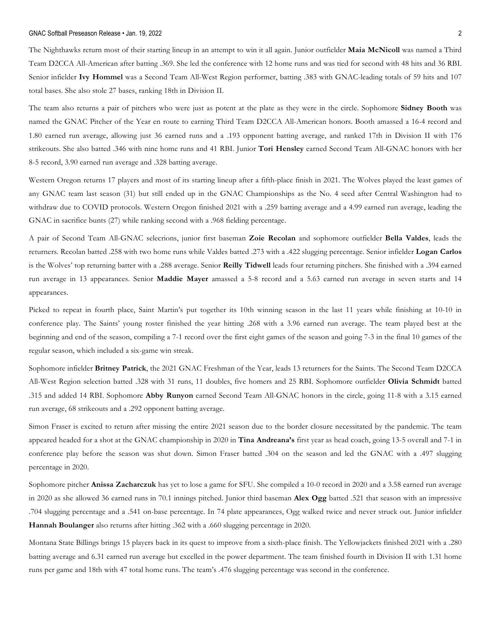#### GNAC Softball Preseason Release • Jan. 19, 2022 2

The Nighthawks return most of their starting lineup in an attempt to win it all again. Junior outfielder **Maia McNicoll** was named a Third Team D2CCA All-American after batting .369. She led the conference with 12 home runs and was tied for second with 48 hits and 36 RBI. Senior infielder **Ivy Hommel** was a Second Team All-West Region performer, batting .383 with GNAC-leading totals of 59 hits and 107 total bases. She also stole 27 bases, ranking 18th in Division II.

The team also returns a pair of pitchers who were just as potent at the plate as they were in the circle. Sophomore **Sidney Booth** was named the GNAC Pitcher of the Year en route to earning Third Team D2CCA All-American honors. Booth amassed a 16-4 record and 1.80 earned run average, allowing just 36 earned runs and a .193 opponent batting average, and ranked 17th in Division II with 176 strikeouts. She also batted .346 with nine home runs and 41 RBI. Junior **Tori Hensley** earned Second Team All-GNAC honors with her 8-5 record, 3.90 earned run average and .328 batting average.

Western Oregon returns 17 players and most of its starting lineup after a fifth-place finish in 2021. The Wolves played the least games of any GNAC team last season (31) but still ended up in the GNAC Championships as the No. 4 seed after Central Washington had to withdraw due to COVID protocols. Western Oregon finished 2021 with a .259 batting average and a 4.99 earned run average, leading the GNAC in sacrifice bunts (27) while ranking second with a .968 fielding percentage.

A pair of Second Team All-GNAC selecrions, junior first baseman **Zoie Recolan** and sophomore outfielder **Bella Valdes**, leads the returners. Recolan batted .258 with two home runs while Valdes batted .273 with a .422 slugging percentage. Senior infielder **Logan Carlos** is the Wolves' top returning batter with a .288 average. Senior **Reilly Tidwell** leads four returning pitchers. She finished with a .394 earned run average in 13 appearances. Senior **Maddie Mayer** amassed a 5-8 record and a 5.63 earned run average in seven starts and 14 appearances.

Picked to repeat in fourth place, Saint Martin's put together its 10th winning season in the last 11 years while finishing at 10-10 in conference play. The Saints' young roster finished the year hitting .268 with a 3.96 earned run average. The team played best at the beginning and end of the season, compiling a 7-1 record over the first eight games of the season and going 7-3 in the final 10 games of the regular season, which included a six-game win streak.

Sophomore infielder **Britney Patrick**, the 2021 GNAC Freshman of the Year, leads 13 returners for the Saints. The Second Team D2CCA All-West Region selection batted .328 with 31 runs, 11 doubles, five homers and 25 RBI. Sophomore outfielder **Olivia Schmidt** batted .315 and added 14 RBI. Sophomore **Abby Runyon** earned Second Team All-GNAC honors in the circle, going 11-8 with a 3.15 earned run average, 68 strikeouts and a .292 opponent batting average.

Simon Fraser is excited to return after missing the entire 2021 season due to the border closure necessitated by the pandemic. The team appeared headed for a shot at the GNAC championship in 2020 in **Tina Andreana's** first year as head coach, going 13-5 overall and 7-1 in conference play before the season was shut down. Simon Fraser batted .304 on the season and led the GNAC with a .497 slugging percentage in 2020.

Sophomore pitcher **Anissa Zacharczuk** has yet to lose a game for SFU. She compiled a 10-0 record in 2020 and a 3.58 earned run average in 2020 as she allowed 36 earned runs in 70.1 innings pitched. Junior third baseman **Alex Ogg** batted .521 that season with an impressive .704 slugging percentage and a .541 on-base percentage. In 74 plate appearances, Ogg walked twice and never struck out. Junior infielder **Hannah Boulanger** also returns after hitting .362 with a .660 slugging percentage in 2020.

Montana State Billings brings 15 players back in its quest to improve from a sixth-place finish. The Yellowjackets finished 2021 with a .280 batting average and 6.31 earned run average but excelled in the power department. The team finished fourth in Division II with 1.31 home runs per game and 18th with 47 total home runs. The team's .476 slugging percentage was second in the conference.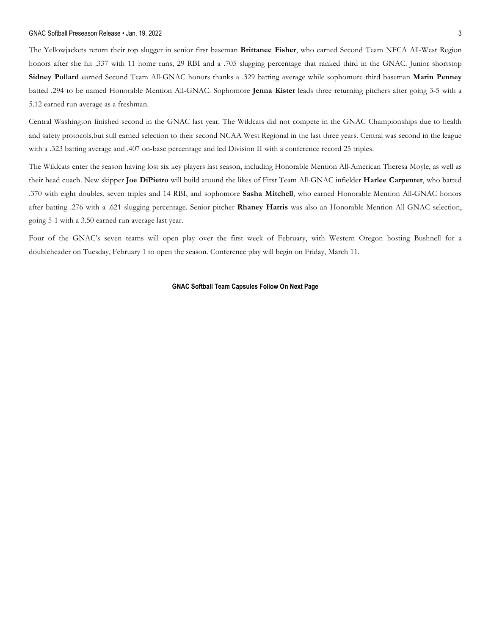#### GNAC Softball Preseason Release • Jan. 19, 2022 3

The Yellowjackets return their top slugger in senior first baseman **Brittanee Fisher**, who earned Second Team NFCA All-West Region honors after she hit .337 with 11 home runs, 29 RBI and a .705 slugging percentage that ranked third in the GNAC. Junior shortstop **Sidney Pollard** earned Second Team All-GNAC honors thanks a .329 batting average while sophomore third baseman **Marin Penney** batted .294 to be named Honorable Mention All-GNAC. Sophomore **Jenna Kister** leads three returning pitchers after going 3-5 with a 5.12 earned run average as a freshman.

Central Washington finished second in the GNAC last year. The Wildcats did not compete in the GNAC Championships due to health and safety protocols,but still earned selection to their second NCAA West Regional in the last three years. Central was second in the league with a .323 batting average and .407 on-base percentage and led Division II with a conference record 25 triples.

The Wildcats enter the season having lost six key players last season, including Honorable Mention All-American Theresa Moyle, as well as their head coach. New skipper **Joe DiPietro** will build around the likes of First Team All-GNAC infielder **Harlee Carpenter**, who batted .370 with eight doubles, seven triples and 14 RBI, and sophomore **Sasha Mitchell**, who earned Honorable Mention All-GNAC honors after batting .276 with a .621 slugging percentage. Senior pitcher **Rhaney Harris** was also an Honorable Mention All-GNAC selection, going 5-1 with a 3.50 earned run average last year.

Four of the GNAC's seven teams will open play over the first week of February, with Western Oregon hosting Bushnell for a doubleheader on Tuesday, February 1 to open the season. Conference play will begin on Friday, March 11.

#### **GNAC Softball Team Capsules Follow On Next Page**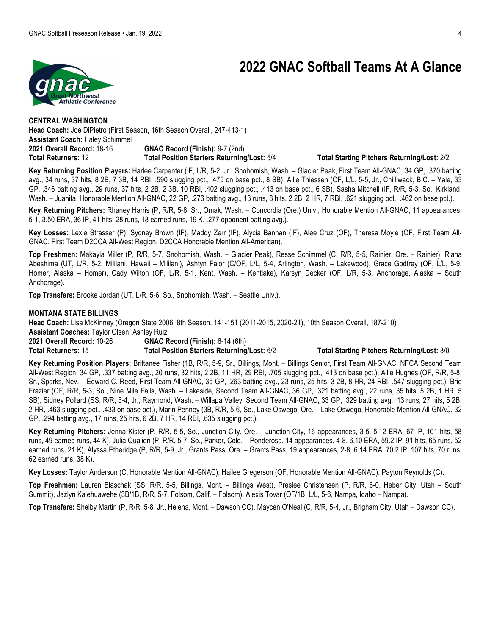# **2022 GNAC Softball Teams At A Glance**



**CENTRAL WASHINGTON Head Coach:** Joe DiPietro (First Season, 16th Season Overall, 247-413-1) **Assistant Coach:** Haley Schimmel **2021 Overall Record:** 18-16 **GNAC Record (Finish):** 9-7 (2nd) **Total Returners:** 12 **Total Position Starters Returning/Lost:** 5/4 **Total Starting Pitchers Returning/Lost:** 2/2

**Key Returning Position Players:** Harlee Carpenter (IF, L/R, 5-2, Jr., Snohomish, Wash. – Glacier Peak, First Team All-GNAC, 34 GP, .370 batting avg., 34 runs, 37 hits, 8 2B, 7 3B, 14 RBI, .590 slugging pct., .475 on base pct., 8 SB), Allie Thiessen (OF, L/L, 5-5, Jr., Chilliwack, B.C. – Yale, 33 GP, .346 batting avg., 29 runs, 37 hits, 2 2B, 2 3B, 10 RBI, .402 slugging pct., .413 on base pct., 6 SB), Sasha Mitchell (IF, R/R, 5-3, So., Kirkland, Wash. - Juanita, Honorable Mention All-GNAC, 22 GP, .276 batting avg., 13 runs, 8 hits, 2 2B, 2 HR, 7 RBI, .621 slugging pct., .462 on base pct.).

**Key Returning Pitchers:** Rhaney Harris (P, R/R, 5-8, Sr., Omak, Wash. – Concordia (Ore.) Univ., Honorable Mention All-GNAC, 11 appearances, 5-1, 3.50 ERA, 36 IP, 41 hits, 28 runs, 18 earned runs, 19 K, .277 opponent batting avg.).

**Key Losses:** Lexie Strasser (P), Sydney Brown (IF), Maddy Zerr (IF), Alycia Bannan (IF), Alee Cruz (OF), Theresa Moyle (OF, First Team All-GNAC, First Team D2CCA All-West Region, D2CCA Honorable Mention All-American).

**Top Freshmen:** Makayla Miller (P, R/R, 5-7, Snohomish, Wash. – Glacier Peak), Resse Schimmel (C, R/R, 5-5, Rainier, Ore. – Rainier), Riana Abeshima (UT, L/R, 5-2, Mililani, Hawaii – Mililani), Ashtyn Falor (C/OF, L/L, 5-4, Arlington, Wash. – Lakewood), Grace Godfrey (OF, L/L, 5-9, Homer, Alaska – Homer), Cady Wilton (OF, L/R, 5-1, Kent, Wash. – Kentlake), Karsyn Decker (OF, L/R, 5-3, Anchorage, Alaska – South Anchorage).

**Top Transfers:** Brooke Jordan (UT, L/R, 5-6, So., Snohomish, Wash. – Seattle Univ.).

### **MONTANA STATE BILLINGS**

**Head Coach:** Lisa McKinney (Oregon State 2006, 8th Season, 141-151 (2011-2015, 2020-21), 10th Season Overall, 187-210) **Assistant Coaches:** Taylor Olsen, Ashley Ruiz **2021 Overall Record:** 10-26 **GNAC Record (Finish):** 6-14 (6th)

**Total Returners:** 15 **Total Position Starters Returning/Lost:** 6/2 **Total Starting Pitchers Returning/Lost:** 3/0

**Key Returning Position Players:** Brittanee Fisher (1B, R/R, 5-9, Sr., Billings, Mont. – Billings Senior, First Team All-GNAC, NFCA Second Team All-West Region, 34 GP, .337 batting avg., 20 runs, 32 hits, 2 2B, 11 HR, 29 RBI, .705 slugging pct., .413 on base pct.), Allie Hughes (OF, R/R, 5-8, Sr., Sparks, Nev. – Edward C. Reed, First Team All-GNAC, 35 GP, .263 batting avg., 23 runs, 25 hits, 3 2B, 8 HR, 24 RBI, .547 slugging pct.), Brie Frazier (OF, R/R, 5-3, So., Nine Mile Falls, Wash. – Lakeside, Second Team All-GNAC, 36 GP, .321 batting avg., 22 runs, 35 hits, 5 2B, 1 HR, 5 SB), Sidney Pollard (SS, R/R, 5-4, Jr., Raymond, Wash. – Willapa Valley, Second Team All-GNAC, 33 GP, .329 batting avg., 13 runs, 27 hits, 5 2B, 2 HR, .463 slugging pct., .433 on base pct.), Marin Penney (3B, R/R, 5-6, So., Lake Oswego, Ore. – Lake Oswego, Honorable Mention All-GNAC, 32 GP, .294 batting avg., 17 runs, 25 hits, 6 2B, 7 HR, 14 RBI, .635 slugging pct.).

**Key Returning Pitchers:** Jenna Kister (P, R/R, 5-5, So., Junction City, Ore. – Junction City, 16 appearances, 3-5, 5.12 ERA, 67 IP, 101 hits, 58 runs, 49 earned runs, 44 K), Julia Qualieri (P, R/R, 5-7, So., Parker, Colo. – Ponderosa, 14 appearances, 4-8, 6.10 ERA, 59.2 IP, 91 hits, 65 runs, 52 earned runs, 21 K), Alyssa Etheridge (P, R/R, 5-9, Jr., Grants Pass, Ore. – Grants Pass, 19 appearances, 2-8, 6.14 ERA, 70.2 IP, 107 hits, 70 runs, 62 earned runs, 38 K).

**Key Losses:** Taylor Anderson (C, Honorable Mention All-GNAC), Hailee Gregerson (OF, Honorable Mention All-GNAC), Payton Reynolds (C).

**Top Freshmen:** Lauren Blaschak (SS, R/R, 5-5, Billings, Mont. – Billings West), Preslee Christensen (P, R/R, 6-0, Heber City, Utah – South Summit), Jazlyn Kalehuawehe (3B/1B, R/R, 5-7, Folsom, Calif. – Folsom), Alexis Tovar (OF/1B, L/L, 5-6, Nampa, Idaho – Nampa).

**Top Transfers:** Shelby Martin (P, R/R, 5-8, Jr., Helena, Mont. – Dawson CC), Maycen O'Neal (C, R/R, 5-4, Jr., Brigham City, Utah – Dawson CC).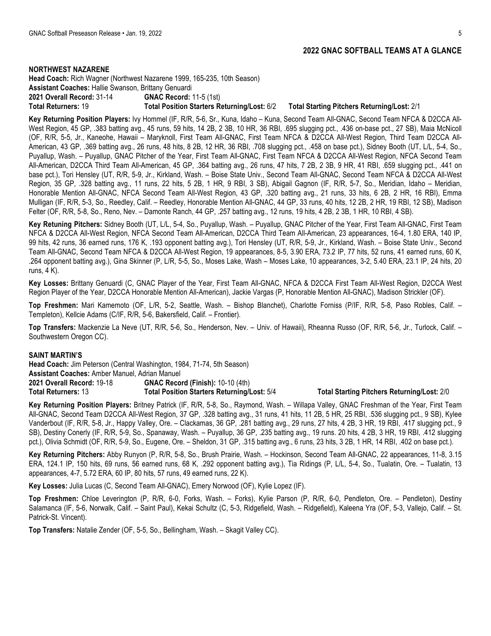#### **NORTHWEST NAZARENE**

**Head Coach:** Rich Wagner (Northwest Nazarene 1999, 165-235, 10th Season) **Assistant Coaches:** Hallie Swanson, Brittany Genuardi **2021 Overall Record:** 31-14 **GNAC Record:** 11-5 (1st) **Total Returners:** 19 **Total Position Starters Returning/Lost:** 6/2 **Total Starting Pitchers Returning/Lost:** 2/1

**Key Returning Position Players:** Ivy Hommel (IF, R/R, 5-6, Sr., Kuna, Idaho – Kuna, Second Team All-GNAC, Second Team NFCA & D2CCA All-West Region, 45 GP, .383 batting avg., 45 runs, 59 hits, 14 2B, 2 3B, 10 HR, 36 RBI, .695 slugging pct., .436 on-base pct., 27 SB), Maia McNicoll (OF, R/R, 5-5, Jr., Kaneohe, Hawaii – Maryknoll, First Team All-GNAC, First Team NFCA & D2CCA All-West Region, Third Team D2CCA All-American, 43 GP, .369 batting avg., 26 runs, 48 hits, 8 2B, 12 HR, 36 RBI, .708 slugging pct., .458 on base pct.), Sidney Booth (UT, L/L, 5-4, So., Puyallup, Wash. – Puyallup, GNAC Pitcher of the Year, First Team All-GNAC, First Team NFCA & D2CCA All-West Region, NFCA Second Team All-American, D2CCA Third Team All-American, 45 GP, .364 batting avg., 26 runs, 47 hits, 7 2B, 2 3B, 9 HR, 41 RBI, .659 slugging pct., .441 on base pct.), Tori Hensley (UT, R/R, 5-9, Jr., Kirkland, Wash. – Boise State Univ., Second Team All-GNAC, Second Team NFCA & D2CCA All-West Region, 35 GP, .328 batting avg., 11 runs, 22 hits, 5 2B, 1 HR, 9 RBI, 3 SB), Abigail Gagnon (IF, R/R, 5-7, So., Meridian, Idaho – Meridian, Honorable Mention All-GNAC, NFCA Second Team All-West Region, 43 GP, .320 batting avg., 21 runs, 33 hits, 6 2B, 2 HR, 16 RBI), Emma Mulligan (IF, R/R, 5-3, So., Reedley, Calif. – Reedley, Honorable Mention All-GNAC, 44 GP, 33 runs, 40 hits, 12 2B, 2 HR, 19 RBI, 12 SB), Madison Felter (OF, R/R, 5-8, So., Reno, Nev. – Damonte Ranch, 44 GP, .257 batting avg., 12 runs, 19 hits, 4 2B, 2 3B, 1 HR, 10 RBI, 4 SB).

**Key Retuning Pitchers:** Sidney Booth (UT, L/L, 5-4, So., Puyallup, Wash. – Puyallup, GNAC Pitcher of the Year, First Team All-GNAC, First Team NFCA & D2CCA All-West Region, NFCA Second Team All-American, D2CCA Third Team All-American, 23 appearances, 16-4, 1.80 ERA, 140 IP, 99 hits, 42 runs, 36 earned runs, 176 K, .193 opponent batting avg.), Tori Hensley (UT, R/R, 5-9, Jr., Kirkland, Wash. – Boise State Univ., Second Team All-GNAC, Second Team NFCA & D2CCA All-West Region, 19 appearances, 8-5, 3.90 ERA, 73.2 IP, 77 hits, 52 runs, 41 earned runs, 60 K, .264 opponent batting avg.), Gina Skinner (P, L/R, 5-5, So., Moses Lake, Wash – Moses Lake, 10 appearances, 3-2, 5.40 ERA, 23.1 IP, 24 hits, 20 runs, 4 K).

**Key Losses:** Brittany Genuardi (C, GNAC Player of the Year, First Team All-GNAC, NFCA & D2CCA First Team All-West Region, D2CCA West Region Player of the Year, D2CCA Honorable Mention All-American), Jackie Vargas (P, Honorable Mention All-GNAC), Madison Strickler (OF).

**Top Freshmen:** Mari Kamemoto (OF, L/R, 5-2, Seattle, Wash. – Bishop Blanchet), Charlotte Forniss (P/IF, R/R, 5-8, Paso Robles, Calif. – Templeton), Kellcie Adams (C/IF, R/R, 5-6, Bakersfield, Calif. – Frontier).

**Top Transfers:** Mackenzie La Neve (UT, R/R, 5-6, So., Henderson, Nev. – Univ. of Hawaii), Rheanna Russo (OF, R/R, 5-6, Jr., Turlock, Calif. – Southwestern Oregon CC).

#### **SAINT MARTIN'S**

**Head Coach:** Jim Peterson (Central Washington, 1984, 71-74, 5th Season) **Assistant Coaches:** Amber Manuel, Adrian Manuel **2021 Overall Record:** 19-18 **GNAC Record (Finish):** 10-10 (4th) **Total Returners:** 13 **Total Position Starters Returning/Lost:** 5/4 **Total Starting Pitchers Returning/Lost:** 2/0

**Key Returning Position Players:** Britney Patrick (IF, R/R, 5-8, So., Raymond, Wash. – Willapa Valley, GNAC Freshman of the Year, First Team All-GNAC, Second Team D2CCA All-West Region, 37 GP, .328 batting avg., 31 runs, 41 hits, 11 2B, 5 HR, 25 RBI, .536 slugging pct., 9 SB), Kylee Vanderbout (IF, R/R, 5-8, Jr., Happy Valley, Ore. – Clackamas, 36 GP, .281 batting avg., 29 runs, 27 hits, 4 2B, 3 HR, 19 RBI, .417 slugging pct., 9 SB), Destiny Conerly (IF, R/R, 5-9, So., Spanaway, Wash. – Puyallup, 36 GP, .235 batting avg., 19 runs. 20 hits, 4 2B, 3 HR, 19 RBI, .412 slugging pct.), Olivia Schmidt (OF, R/R, 5-9, So., Eugene, Ore. - Sheldon, 31 GP, .315 batting avg., 6 runs, 23 hits, 3 2B, 1 HR, 14 RBI, .402 on base pct.).

**Key Returning Pitchers:** Abby Runyon (P, R/R, 5-8, So., Brush Prairie, Wash. – Hockinson, Second Team All-GNAC, 22 appearances, 11-8, 3.15 ERA, 124.1 IP, 150 hits, 69 runs, 56 earned runs, 68 K, .292 opponent batting avg.), Tia Ridings (P, L/L, 5-4, So., Tualatin, Ore. – Tualatin, 13 appearances, 4-7, 5.72 ERA, 60 IP, 80 hits, 57 runs, 49 earned runs, 22 K).

**Key Losses:** Julia Lucas (C, Second Team All-GNAC), Emery Norwood (OF), Kylie Lopez (IF).

**Top Freshmen:** Chloe Leverington (P, R/R, 6-0, Forks, Wash. – Forks), Kylie Parson (P, R/R, 6-0, Pendleton, Ore. – Pendleton), Destiny Salamanca (IF, 5-6, Norwalk, Calif. – Saint Paul), Kekai Schultz (C, 5-3, Ridgefield, Wash. – Ridgefield), Kaleena Yra (OF, 5-3, Vallejo, Calif. – St. Patrick-St. Vincent).

**Top Transfers:** Natalie Zender (OF, 5-5, So., Bellingham, Wash. – Skagit Valley CC).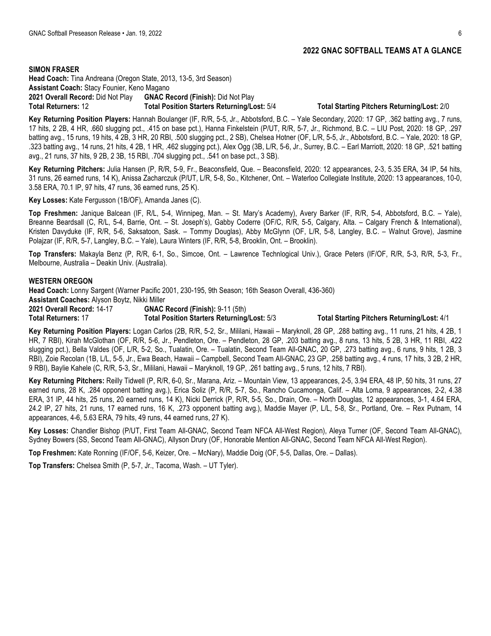**SIMON FRASER**

**Head Coach:** Tina Andreana (Oregon State, 2013, 13-5, 3rd Season) **Assistant Coach:** Stacy Founier, Keno Magano **2021 Overall Record:** Did Not Play **GNAC Record (Finish):** Did Not Play **Total Returners:** 12 **Total Position Starters Returning/Lost:** 5/4 **Total Starting Pitchers Returning/Lost:** 2/0

**Key Returning Position Players:** Hannah Boulanger (IF, R/R, 5-5, Jr., Abbotsford, B.C. – Yale Secondary, 2020: 17 GP, .362 batting avg., 7 runs, 17 hits, 2 2B, 4 HR, .660 slugging pct., .415 on base pct.), Hanna Finkelstein (P/UT, R/R, 5-7, Jr., Richmond, B.C. – LIU Post, 2020: 18 GP, .297 batting avg., 15 runs, 19 hits, 4 2B, 3 HR, 20 RBI, .500 slugging pct., 2 SB), Chelsea Hotner (OF, L/R, 5-5, Jr., Abbotsford, B.C. – Yale, 2020: 18 GP, .323 batting avg., 14 runs, 21 hits, 4 2B, 1 HR, .462 slugging pct.), Alex Ogg (3B, L/R, 5-6, Jr., Surrey, B.C. – Earl Marriott, 2020: 18 GP, .521 batting avg., 21 runs, 37 hits, 9 2B, 2 3B, 15 RBI, .704 slugging pct., .541 on base pct., 3 SB).

**Key Returning Pitchers:** Julia Hansen (P, R/R, 5-9, Fr., Beaconsfield, Que. – Beaconsfield, 2020: 12 appearances, 2-3, 5.35 ERA, 34 IP, 54 hits, 31 runs, 26 earned runs, 14 K), Anissa Zacharczuk (P/UT, L/R, 5-8, So., Kitchener, Ont. – Waterloo Collegiate Institute, 2020: 13 appearances, 10-0, 3.58 ERA, 70.1 IP, 97 hits, 47 runs, 36 earned runs, 25 K).

**Key Losses:** Kate Fergusson (1B/OF), Amanda Janes (C).

**Top Freshmen:** Janique Balcean (IF, R/L, 5-4, Winnipeg, Man. – St. Mary's Academy), Avery Barker (IF, R/R, 5-4, Abbotsford, B.C. – Yale), Breanne Beardsall (C, R/L, 5-4, Barrie, Ont. – St. Joseph's), Gabby Coderre (OF/C, R/R, 5-5, Calgary, Alta. – Calgary French & International), Kristen Davyduke (IF, R/R, 5-6, Saksatoon, Sask. – Tommy Douglas), Abby McGlynn (OF, L/R, 5-8, Langley, B.C. – Walnut Grove), Jasmine Polajzar (IF, R/R, 5-7, Langley, B.C. – Yale), Laura Winters (IF, R/R, 5-8, Brooklin, Ont. – Brooklin).

**Top Transfers:** Makayla Benz (P, R/R, 6-1, So., Simcoe, Ont. – Lawrence Technlogical Univ.), Grace Peters (IF/OF, R/R, 5-3, R/R, 5-3, Fr., Melbourne, Australia – Deakin Univ. (Australia).

### **WESTERN OREGON**

**Head Coach:** Lonny Sargent (Warner Pacific 2001, 230-195, 9th Season; 16th Season Overall, 436-360) **Assistant Coaches:** Alyson Boytz, Nikki Miller

**2021 Overall Record:** 14-17 **GNAC Record (Finish):** 9-11 (5th) **Total Returners:** 17 **Total Position Starters Returning/Lost:** 5/3 **Total Starting Pitchers Returning/Lost:** 4/1

**Key Returning Position Players:** Logan Carlos (2B, R/R, 5-2, Sr., Mililani, Hawaii – Maryknoll, 28 GP, .288 batting avg., 11 runs, 21 hits, 4 2B, 1 HR, 7 RBI), Kirah McGlothan (OF, R/R, 5-6, Jr., Pendleton, Ore. – Pendleton, 28 GP, .203 batting avg., 8 runs, 13 hits, 5 2B, 3 HR, 11 RBI, .422 slugging pct.), Bella Valdes (OF, L/R, 5-2, So., Tualatin, Ore. – Tualatin, Second Team All-GNAC, 20 GP, .273 batting avg., 6 runs, 9 hits, 1 2B, 3 RBI), Zoie Recolan (1B, L/L, 5-5, Jr., Ewa Beach, Hawaii – Campbell, Second Team All-GNAC, 23 GP, .258 batting avg., 4 runs, 17 hits, 3 2B, 2 HR, 9 RBI), Baylie Kahele (C, R/R, 5-3, Sr., Mililani, Hawaii – Maryknoll, 19 GP, .261 batting avg., 5 runs, 12 hits, 7 RBI).

**Key Returning Pitchers:** Reilly Tidwell (P, R/R, 6-0, Sr., Marana, Ariz. – Mountain View, 13 appearances, 2-5, 3.94 ERA, 48 IP, 50 hits, 31 runs, 27 earned runs, 28 K, .284 opponent batting avg.), Erica Soliz (P, R/R, 5-7, So., Rancho Cucamonga, Calif. – Alta Loma, 9 appearances, 2-2, 4.38 ERA, 31 IP, 44 hits, 25 runs, 20 earned runs, 14 K), Nicki Derrick (P, R/R, 5-5, So., Drain, Ore. – North Douglas, 12 appearances, 3-1, 4.64 ERA, 24.2 IP, 27 hits, 21 runs, 17 earned runs, 16 K, .273 opponent batting avg.), Maddie Mayer (P, L/L, 5-8, Sr., Portland, Ore. – Rex Putnam, 14 appearances, 4-6, 5.63 ERA, 79 hits, 49 runs, 44 earned runs, 27 K).

**Key Losses:** Chandler Bishop (P/UT, First Team All-GNAC, Second Team NFCA All-West Region), Aleya Turner (OF, Second Team All-GNAC), Sydney Bowers (SS, Second Team All-GNAC), Allyson Drury (OF, Honorable Mention All-GNAC, Second Team NFCA All-West Region).

**Top Freshmen:** Kate Ronning (IF/OF, 5-6, Keizer, Ore. – McNary), Maddie Doig (OF, 5-5, Dallas, Ore. – Dallas).

**Top Transfers:** Chelsea Smith (P, 5-7, Jr., Tacoma, Wash. – UT Tyler).